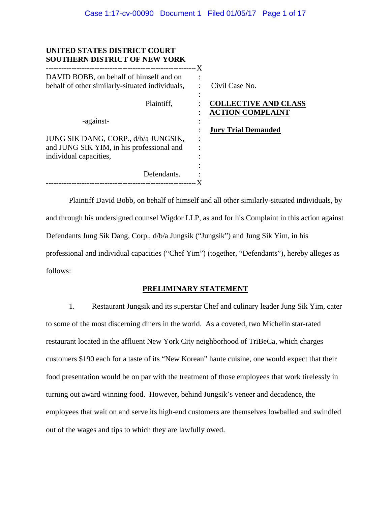| UNITED STATES DISTRICT COURT<br><b>SOUTHERN DISTRICT OF NEW YORK</b>                                        | - X                                                    |
|-------------------------------------------------------------------------------------------------------------|--------------------------------------------------------|
| DAVID BOBB, on behalf of himself and on<br>behalf of other similarly-situated individuals,                  | Civil Case No.                                         |
| Plaintiff,                                                                                                  | <b>COLLECTIVE AND CLASS</b><br><b>ACTION COMPLAINT</b> |
| -against-                                                                                                   |                                                        |
| JUNG SIK DANG, CORP., d/b/a JUNGSIK,<br>and JUNG SIK YIM, in his professional and<br>individual capacities, | <b>Jury Trial Demanded</b>                             |
| Defendants.                                                                                                 |                                                        |
|                                                                                                             |                                                        |

Plaintiff David Bobb, on behalf of himself and all other similarly-situated individuals, by and through his undersigned counsel Wigdor LLP, as and for his Complaint in this action against Defendants Jung Sik Dang, Corp., d/b/a Jungsik ("Jungsik") and Jung Sik Yim, in his professional and individual capacities ("Chef Yim") (together, "Defendants"), hereby alleges as follows:

### **PRELIMINARY STATEMENT**

1. Restaurant Jungsik and its superstar Chef and culinary leader Jung Sik Yim, cater to some of the most discerning diners in the world. As a coveted, two Michelin star-rated restaurant located in the affluent New York City neighborhood of TriBeCa, which charges customers \$190 each for a taste of its "New Korean" haute cuisine, one would expect that their food presentation would be on par with the treatment of those employees that work tirelessly in turning out award winning food. However, behind Jungsik's veneer and decadence, the employees that wait on and serve its high-end customers are themselves lowballed and swindled out of the wages and tips to which they are lawfully owed.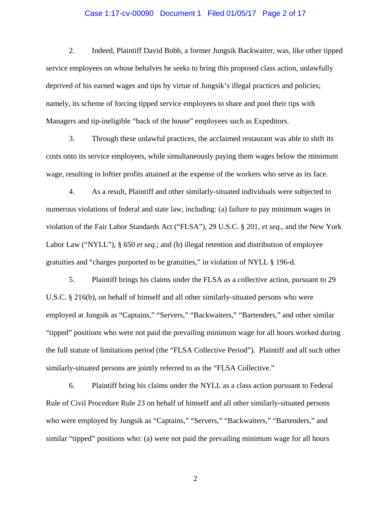#### Case 1:17-cv-00090 Document 1 Filed 01/05/17 Page 2 of 17

2. Indeed, Plaintiff David Bobb, a former Jungsik Backwaiter, was, like other tipped service employees on whose behalves he seeks to bring this proposed class action, unlawfully deprived of his earned wages and tips by virtue of Jungsik's illegal practices and policies; namely, its scheme of forcing tipped service employees to share and pool their tips with Managers and tip-ineligible "back of the house" employees such as Expeditors.

3. Through these unlawful practices, the acclaimed restaurant was able to shift its costs onto its service employees, while simultaneously paying them wages below the minimum wage, resulting in loftier profits attained at the expense of the workers who serve as its face.

4. As a result, Plaintiff and other similarly-situated individuals were subjected to numerous violations of federal and state law, including: (a) failure to pay minimum wages in violation of the Fair Labor Standards Act ("FLSA"), 29 U.S.C. § 201, *et seq.*, and the New York Labor Law ("NYLL"), § 650 *et seq.*; and (b) illegal retention and distribution of employee gratuities and "charges purported to be gratuities," in violation of NYLL § 196-d*.*

5. Plaintiff brings his claims under the FLSA as a collective action, pursuant to 29 U.S.C. § 216(b), on behalf of himself and all other similarly-situated persons who were employed at Jungsik as "Captains," "Servers," "Backwaiters," "Bartenders," and other similar "tipped" positions who were not paid the prevailing minimum wage for all hours worked during the full statute of limitations period (the "FLSA Collective Period"). Plaintiff and all such other similarly-situated persons are jointly referred to as the "FLSA Collective."

6. Plaintiff bring his claims under the NYLL as a class action pursuant to Federal Rule of Civil Procedure Rule 23 on behalf of himself and all other similarly-situated persons who were employed by Jungsik as "Captains," "Servers," "Backwaiters," "Bartenders," and similar "tipped" positions who: (a) were not paid the prevailing minimum wage for all hours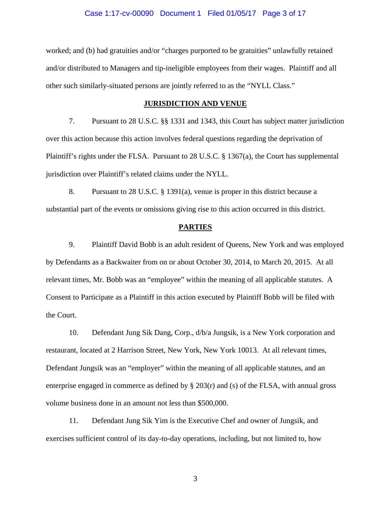#### Case 1:17-cv-00090 Document 1 Filed 01/05/17 Page 3 of 17

worked; and (b) had gratuities and/or "charges purported to be gratuities" unlawfully retained and/or distributed to Managers and tip-ineligible employees from their wages. Plaintiff and all other such similarly-situated persons are jointly referred to as the "NYLL Class."

#### **JURISDICTION AND VENUE**

7. Pursuant to 28 U.S.C. §§ 1331 and 1343, this Court has subject matter jurisdiction over this action because this action involves federal questions regarding the deprivation of Plaintiff's rights under the FLSA. Pursuant to 28 U.S.C.  $\S$  1367(a), the Court has supplemental jurisdiction over Plaintiff's related claims under the NYLL.

8. Pursuant to 28 U.S.C. § 1391(a), venue is proper in this district because a substantial part of the events or omissions giving rise to this action occurred in this district.

#### **PARTIES**

9. Plaintiff David Bobb is an adult resident of Queens, New York and was employed by Defendants as a Backwaiter from on or about October 30, 2014, to March 20, 2015. At all relevant times, Mr. Bobb was an "employee" within the meaning of all applicable statutes. A Consent to Participate as a Plaintiff in this action executed by Plaintiff Bobb will be filed with the Court.

10. Defendant Jung Sik Dang, Corp., d/b/a Jungsik, is a New York corporation and restaurant, located at 2 Harrison Street, New York, New York 10013. At all relevant times, Defendant Jungsik was an "employer" within the meaning of all applicable statutes, and an enterprise engaged in commerce as defined by  $\S 203(r)$  and (s) of the FLSA, with annual gross volume business done in an amount not less than \$500,000.

11. Defendant Jung Sik Yim is the Executive Chef and owner of Jungsik, and exercises sufficient control of its day-to-day operations, including, but not limited to, how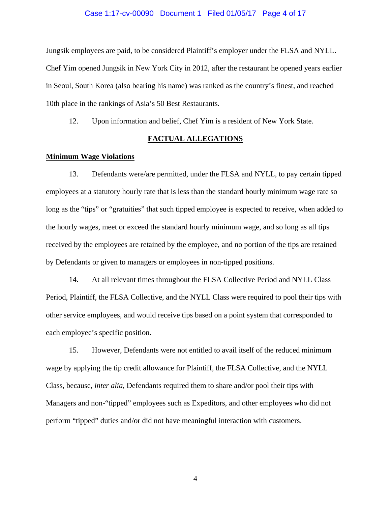#### Case 1:17-cv-00090 Document 1 Filed 01/05/17 Page 4 of 17

Jungsik employees are paid, to be considered Plaintiff's employer under the FLSA and NYLL. Chef Yim opened Jungsik in New York City in 2012, after the restaurant he opened years earlier in Seoul, South Korea (also bearing his name) was ranked as the country's finest, and reached 10th place in the rankings of Asia's 50 Best Restaurants.

12. Upon information and belief, Chef Yim is a resident of New York State.

### **FACTUAL ALLEGATIONS**

#### **Minimum Wage Violations**

13. Defendants were/are permitted, under the FLSA and NYLL, to pay certain tipped employees at a statutory hourly rate that is less than the standard hourly minimum wage rate so long as the "tips" or "gratuities" that such tipped employee is expected to receive, when added to the hourly wages, meet or exceed the standard hourly minimum wage, and so long as all tips received by the employees are retained by the employee, and no portion of the tips are retained by Defendants or given to managers or employees in non-tipped positions.

14. At all relevant times throughout the FLSA Collective Period and NYLL Class Period, Plaintiff, the FLSA Collective, and the NYLL Class were required to pool their tips with other service employees, and would receive tips based on a point system that corresponded to each employee's specific position.

15. However, Defendants were not entitled to avail itself of the reduced minimum wage by applying the tip credit allowance for Plaintiff, the FLSA Collective, and the NYLL Class, because, *inter alia*, Defendants required them to share and/or pool their tips with Managers and non-"tipped" employees such as Expeditors, and other employees who did not perform "tipped" duties and/or did not have meaningful interaction with customers.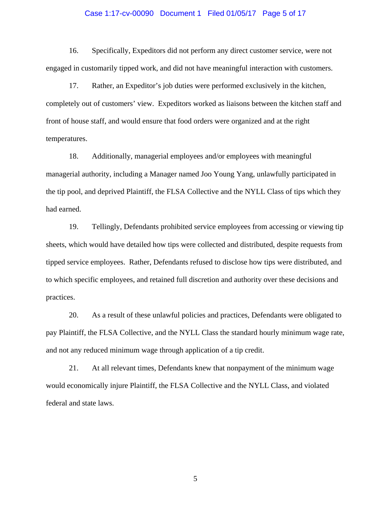#### Case 1:17-cv-00090 Document 1 Filed 01/05/17 Page 5 of 17

16. Specifically, Expeditors did not perform any direct customer service, were not engaged in customarily tipped work, and did not have meaningful interaction with customers.

17. Rather, an Expeditor's job duties were performed exclusively in the kitchen, completely out of customers' view. Expeditors worked as liaisons between the kitchen staff and front of house staff, and would ensure that food orders were organized and at the right temperatures.

18. Additionally, managerial employees and/or employees with meaningful managerial authority, including a Manager named Joo Young Yang, unlawfully participated in the tip pool, and deprived Plaintiff, the FLSA Collective and the NYLL Class of tips which they had earned.

19. Tellingly, Defendants prohibited service employees from accessing or viewing tip sheets, which would have detailed how tips were collected and distributed, despite requests from tipped service employees. Rather, Defendants refused to disclose how tips were distributed, and to which specific employees, and retained full discretion and authority over these decisions and practices.

20. As a result of these unlawful policies and practices, Defendants were obligated to pay Plaintiff, the FLSA Collective, and the NYLL Class the standard hourly minimum wage rate, and not any reduced minimum wage through application of a tip credit.

21. At all relevant times, Defendants knew that nonpayment of the minimum wage would economically injure Plaintiff, the FLSA Collective and the NYLL Class, and violated federal and state laws.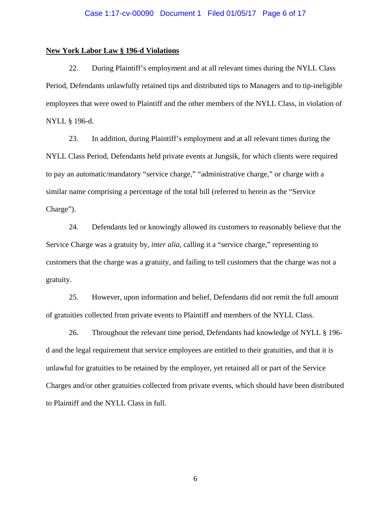#### **New York Labor Law § 196-d Violations**

22. During Plaintiff's employment and at all relevant times during the NYLL Class Period, Defendants unlawfully retained tips and distributed tips to Managers and to tip-ineligible employees that were owed to Plaintiff and the other members of the NYLL Class, in violation of NYLL § 196-d.

23. In addition, during Plaintiff's employment and at all relevant times during the NYLL Class Period, Defendants held private events at Jungsik, for which clients were required to pay an automatic/mandatory "service charge," "administrative charge," or charge with a similar name comprising a percentage of the total bill (referred to herein as the "Service Charge").

24. Defendants led or knowingly allowed its customers to reasonably believe that the Service Charge was a gratuity by, *inter alia*, calling it a "service charge," representing to customers that the charge was a gratuity, and failing to tell customers that the charge was not a gratuity.

25. However, upon information and belief, Defendants did not remit the full amount of gratuities collected from private events to Plaintiff and members of the NYLL Class.

26. Throughout the relevant time period, Defendants had knowledge of NYLL § 196 d and the legal requirement that service employees are entitled to their gratuities, and that it is unlawful for gratuities to be retained by the employer, yet retained all or part of the Service Charges and/or other gratuities collected from private events, which should have been distributed to Plaintiff and the NYLL Class in full.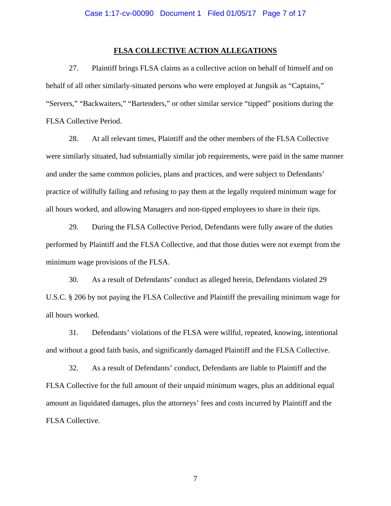#### **FLSA COLLECTIVE ACTION ALLEGATIONS**

27. Plaintiff brings FLSA claims as a collective action on behalf of himself and on behalf of all other similarly-situated persons who were employed at Jungsik as "Captains," "Servers," "Backwaiters," "Bartenders," or other similar service "tipped" positions during the FLSA Collective Period.

28. At all relevant times, Plaintiff and the other members of the FLSA Collective were similarly situated, had substantially similar job requirements, were paid in the same manner and under the same common policies, plans and practices, and were subject to Defendants' practice of willfully failing and refusing to pay them at the legally required minimum wage for all hours worked, and allowing Managers and non-tipped employees to share in their tips.

29. During the FLSA Collective Period, Defendants were fully aware of the duties performed by Plaintiff and the FLSA Collective, and that those duties were not exempt from the minimum wage provisions of the FLSA.

30. As a result of Defendants' conduct as alleged herein, Defendants violated 29 U.S.C. § 206 by not paying the FLSA Collective and Plaintiff the prevailing minimum wage for all hours worked.

31. Defendants' violations of the FLSA were willful, repeated, knowing, intentional and without a good faith basis, and significantly damaged Plaintiff and the FLSA Collective.

32. As a result of Defendants' conduct, Defendants are liable to Plaintiff and the FLSA Collective for the full amount of their unpaid minimum wages, plus an additional equal amount as liquidated damages, plus the attorneys' fees and costs incurred by Plaintiff and the FLSA Collective.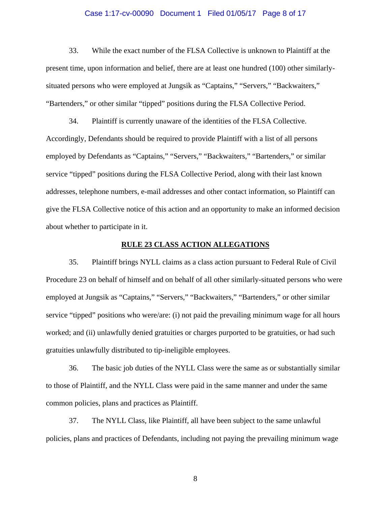#### Case 1:17-cv-00090 Document 1 Filed 01/05/17 Page 8 of 17

33. While the exact number of the FLSA Collective is unknown to Plaintiff at the present time, upon information and belief, there are at least one hundred (100) other similarlysituated persons who were employed at Jungsik as "Captains," "Servers," "Backwaiters," "Bartenders," or other similar "tipped" positions during the FLSA Collective Period.

34. Plaintiff is currently unaware of the identities of the FLSA Collective. Accordingly, Defendants should be required to provide Plaintiff with a list of all persons employed by Defendants as "Captains," "Servers," "Backwaiters," "Bartenders," or similar service "tipped" positions during the FLSA Collective Period, along with their last known addresses, telephone numbers, e-mail addresses and other contact information, so Plaintiff can give the FLSA Collective notice of this action and an opportunity to make an informed decision about whether to participate in it.

#### **RULE 23 CLASS ACTION ALLEGATIONS**

35. Plaintiff brings NYLL claims as a class action pursuant to Federal Rule of Civil Procedure 23 on behalf of himself and on behalf of all other similarly-situated persons who were employed at Jungsik as "Captains," "Servers," "Backwaiters," "Bartenders," or other similar service "tipped" positions who were/are: (i) not paid the prevailing minimum wage for all hours worked; and (ii) unlawfully denied gratuities or charges purported to be gratuities, or had such gratuities unlawfully distributed to tip-ineligible employees.

36. The basic job duties of the NYLL Class were the same as or substantially similar to those of Plaintiff, and the NYLL Class were paid in the same manner and under the same common policies, plans and practices as Plaintiff.

37. The NYLL Class, like Plaintiff, all have been subject to the same unlawful policies, plans and practices of Defendants, including not paying the prevailing minimum wage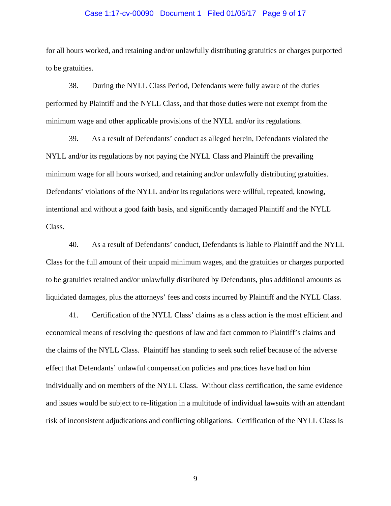#### Case 1:17-cv-00090 Document 1 Filed 01/05/17 Page 9 of 17

for all hours worked, and retaining and/or unlawfully distributing gratuities or charges purported to be gratuities.

38. During the NYLL Class Period, Defendants were fully aware of the duties performed by Plaintiff and the NYLL Class, and that those duties were not exempt from the minimum wage and other applicable provisions of the NYLL and/or its regulations.

39. As a result of Defendants' conduct as alleged herein, Defendants violated the NYLL and/or its regulations by not paying the NYLL Class and Plaintiff the prevailing minimum wage for all hours worked, and retaining and/or unlawfully distributing gratuities. Defendants' violations of the NYLL and/or its regulations were willful, repeated, knowing, intentional and without a good faith basis, and significantly damaged Plaintiff and the NYLL Class.

40. As a result of Defendants' conduct, Defendants is liable to Plaintiff and the NYLL Class for the full amount of their unpaid minimum wages, and the gratuities or charges purported to be gratuities retained and/or unlawfully distributed by Defendants, plus additional amounts as liquidated damages, plus the attorneys' fees and costs incurred by Plaintiff and the NYLL Class.

41. Certification of the NYLL Class' claims as a class action is the most efficient and economical means of resolving the questions of law and fact common to Plaintiff's claims and the claims of the NYLL Class. Plaintiff has standing to seek such relief because of the adverse effect that Defendants' unlawful compensation policies and practices have had on him individually and on members of the NYLL Class. Without class certification, the same evidence and issues would be subject to re-litigation in a multitude of individual lawsuits with an attendant risk of inconsistent adjudications and conflicting obligations. Certification of the NYLL Class is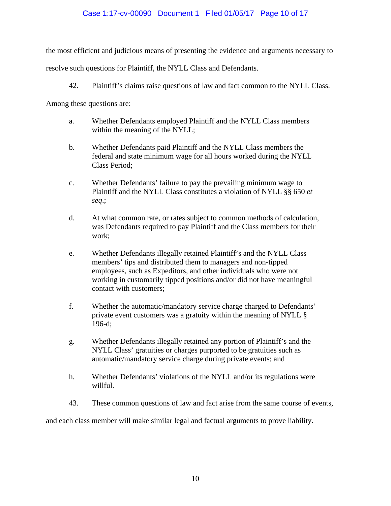## Case 1:17-cv-00090 Document 1 Filed 01/05/17 Page 10 of 17

the most efficient and judicious means of presenting the evidence and arguments necessary to

resolve such questions for Plaintiff, the NYLL Class and Defendants.

42. Plaintiff's claims raise questions of law and fact common to the NYLL Class.

Among these questions are:

- a. Whether Defendants employed Plaintiff and the NYLL Class members within the meaning of the NYLL;
- b. Whether Defendants paid Plaintiff and the NYLL Class members the federal and state minimum wage for all hours worked during the NYLL Class Period;
- c. Whether Defendants' failure to pay the prevailing minimum wage to Plaintiff and the NYLL Class constitutes a violation of NYLL §§ 650 *et seq*.;
- d. At what common rate, or rates subject to common methods of calculation, was Defendants required to pay Plaintiff and the Class members for their work;
- e. Whether Defendants illegally retained Plaintiff's and the NYLL Class members' tips and distributed them to managers and non-tipped employees, such as Expeditors, and other individuals who were not working in customarily tipped positions and/or did not have meaningful contact with customers;
- f. Whether the automatic/mandatory service charge charged to Defendants' private event customers was a gratuity within the meaning of NYLL § 196-d;
- g. Whether Defendants illegally retained any portion of Plaintiff's and the NYLL Class' gratuities or charges purported to be gratuities such as automatic/mandatory service charge during private events; and
- h. Whether Defendants' violations of the NYLL and/or its regulations were willful.
- 43. These common questions of law and fact arise from the same course of events,

and each class member will make similar legal and factual arguments to prove liability.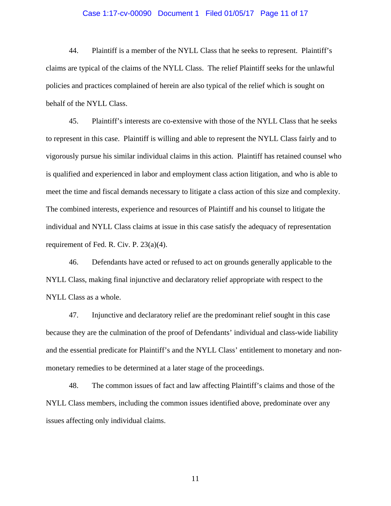#### Case 1:17-cv-00090 Document 1 Filed 01/05/17 Page 11 of 17

44. Plaintiff is a member of the NYLL Class that he seeks to represent. Plaintiff's claims are typical of the claims of the NYLL Class. The relief Plaintiff seeks for the unlawful policies and practices complained of herein are also typical of the relief which is sought on behalf of the NYLL Class.

45. Plaintiff's interests are co-extensive with those of the NYLL Class that he seeks to represent in this case. Plaintiff is willing and able to represent the NYLL Class fairly and to vigorously pursue his similar individual claims in this action. Plaintiff has retained counsel who is qualified and experienced in labor and employment class action litigation, and who is able to meet the time and fiscal demands necessary to litigate a class action of this size and complexity. The combined interests, experience and resources of Plaintiff and his counsel to litigate the individual and NYLL Class claims at issue in this case satisfy the adequacy of representation requirement of Fed. R. Civ. P. 23(a)(4).

46. Defendants have acted or refused to act on grounds generally applicable to the NYLL Class, making final injunctive and declaratory relief appropriate with respect to the NYLL Class as a whole.

47. Injunctive and declaratory relief are the predominant relief sought in this case because they are the culmination of the proof of Defendants' individual and class-wide liability and the essential predicate for Plaintiff's and the NYLL Class' entitlement to monetary and nonmonetary remedies to be determined at a later stage of the proceedings.

48. The common issues of fact and law affecting Plaintiff's claims and those of the NYLL Class members, including the common issues identified above, predominate over any issues affecting only individual claims.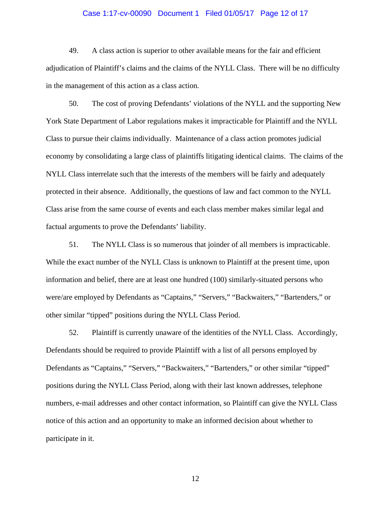#### Case 1:17-cv-00090 Document 1 Filed 01/05/17 Page 12 of 17

49. A class action is superior to other available means for the fair and efficient adjudication of Plaintiff's claims and the claims of the NYLL Class. There will be no difficulty in the management of this action as a class action.

50. The cost of proving Defendants' violations of the NYLL and the supporting New York State Department of Labor regulations makes it impracticable for Plaintiff and the NYLL Class to pursue their claims individually. Maintenance of a class action promotes judicial economy by consolidating a large class of plaintiffs litigating identical claims. The claims of the NYLL Class interrelate such that the interests of the members will be fairly and adequately protected in their absence. Additionally, the questions of law and fact common to the NYLL Class arise from the same course of events and each class member makes similar legal and factual arguments to prove the Defendants' liability.

51. The NYLL Class is so numerous that joinder of all members is impracticable. While the exact number of the NYLL Class is unknown to Plaintiff at the present time, upon information and belief, there are at least one hundred (100) similarly-situated persons who were/are employed by Defendants as "Captains," "Servers," "Backwaiters," "Bartenders," or other similar "tipped" positions during the NYLL Class Period.

52. Plaintiff is currently unaware of the identities of the NYLL Class. Accordingly, Defendants should be required to provide Plaintiff with a list of all persons employed by Defendants as "Captains," "Servers," "Backwaiters," "Bartenders," or other similar "tipped" positions during the NYLL Class Period, along with their last known addresses, telephone numbers, e-mail addresses and other contact information, so Plaintiff can give the NYLL Class notice of this action and an opportunity to make an informed decision about whether to participate in it.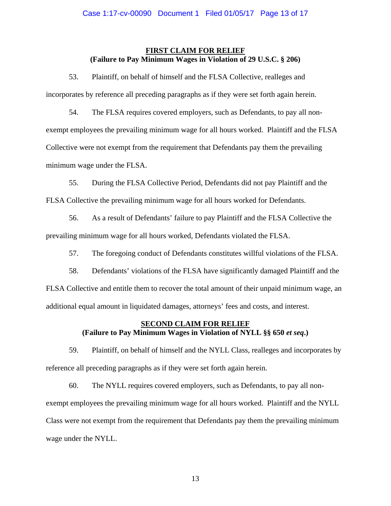### **FIRST CLAIM FOR RELIEF (Failure to Pay Minimum Wages in Violation of 29 U.S.C. § 206)**

53. Plaintiff, on behalf of himself and the FLSA Collective, realleges and incorporates by reference all preceding paragraphs as if they were set forth again herein.

54. The FLSA requires covered employers, such as Defendants, to pay all nonexempt employees the prevailing minimum wage for all hours worked. Plaintiff and the FLSA Collective were not exempt from the requirement that Defendants pay them the prevailing minimum wage under the FLSA.

55. During the FLSA Collective Period, Defendants did not pay Plaintiff and the FLSA Collective the prevailing minimum wage for all hours worked for Defendants.

56. As a result of Defendants' failure to pay Plaintiff and the FLSA Collective the prevailing minimum wage for all hours worked, Defendants violated the FLSA.

57. The foregoing conduct of Defendants constitutes willful violations of the FLSA.

58. Defendants' violations of the FLSA have significantly damaged Plaintiff and the FLSA Collective and entitle them to recover the total amount of their unpaid minimum wage, an additional equal amount in liquidated damages, attorneys' fees and costs, and interest.

# **SECOND CLAIM FOR RELIEF (Failure to Pay Minimum Wages in Violation of NYLL §§ 650** *et seq***.)**

59. Plaintiff, on behalf of himself and the NYLL Class, realleges and incorporates by reference all preceding paragraphs as if they were set forth again herein.

60. The NYLL requires covered employers, such as Defendants, to pay all nonexempt employees the prevailing minimum wage for all hours worked. Plaintiff and the NYLL Class were not exempt from the requirement that Defendants pay them the prevailing minimum wage under the NYLL.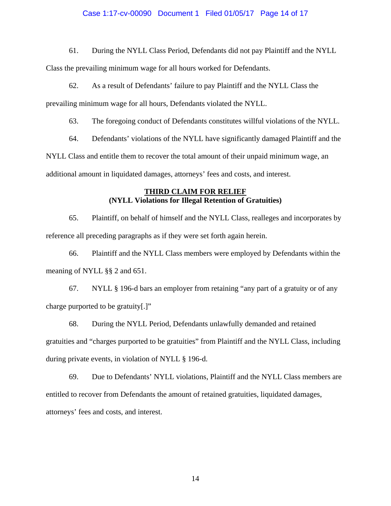#### Case 1:17-cv-00090 Document 1 Filed 01/05/17 Page 14 of 17

61. During the NYLL Class Period, Defendants did not pay Plaintiff and the NYLL

Class the prevailing minimum wage for all hours worked for Defendants.

62. As a result of Defendants' failure to pay Plaintiff and the NYLL Class the prevailing minimum wage for all hours, Defendants violated the NYLL.

63. The foregoing conduct of Defendants constitutes willful violations of the NYLL.

64. Defendants' violations of the NYLL have significantly damaged Plaintiff and the NYLL Class and entitle them to recover the total amount of their unpaid minimum wage, an additional amount in liquidated damages, attorneys' fees and costs, and interest.

## **THIRD CLAIM FOR RELIEF (NYLL Violations for Illegal Retention of Gratuities)**

65. Plaintiff, on behalf of himself and the NYLL Class, realleges and incorporates by reference all preceding paragraphs as if they were set forth again herein.

66. Plaintiff and the NYLL Class members were employed by Defendants within the meaning of NYLL §§ 2 and 651.

67. NYLL § 196-d bars an employer from retaining "any part of a gratuity or of any charge purported to be gratuity[.]"

68. During the NYLL Period, Defendants unlawfully demanded and retained gratuities and "charges purported to be gratuities" from Plaintiff and the NYLL Class, including during private events, in violation of NYLL § 196-d.

69. Due to Defendants' NYLL violations, Plaintiff and the NYLL Class members are entitled to recover from Defendants the amount of retained gratuities, liquidated damages, attorneys' fees and costs, and interest.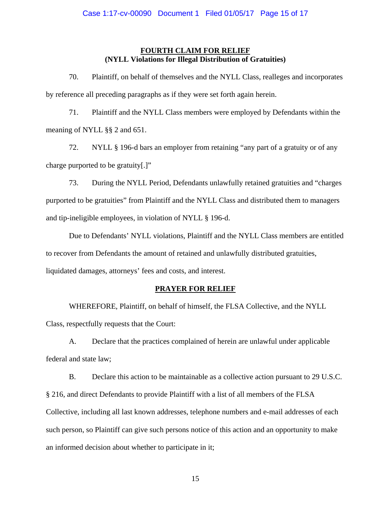## **FOURTH CLAIM FOR RELIEF (NYLL Violations for Illegal Distribution of Gratuities)**

70. Plaintiff, on behalf of themselves and the NYLL Class, realleges and incorporates by reference all preceding paragraphs as if they were set forth again herein.

71. Plaintiff and the NYLL Class members were employed by Defendants within the meaning of NYLL §§ 2 and 651.

72. NYLL § 196-d bars an employer from retaining "any part of a gratuity or of any charge purported to be gratuity[.]"

73. During the NYLL Period, Defendants unlawfully retained gratuities and "charges purported to be gratuities" from Plaintiff and the NYLL Class and distributed them to managers and tip-ineligible employees, in violation of NYLL § 196-d.

Due to Defendants' NYLL violations, Plaintiff and the NYLL Class members are entitled to recover from Defendants the amount of retained and unlawfully distributed gratuities, liquidated damages, attorneys' fees and costs, and interest.

#### **PRAYER FOR RELIEF**

WHEREFORE, Plaintiff, on behalf of himself, the FLSA Collective, and the NYLL Class, respectfully requests that the Court:

A. Declare that the practices complained of herein are unlawful under applicable federal and state law;

B. Declare this action to be maintainable as a collective action pursuant to 29 U.S.C. § 216, and direct Defendants to provide Plaintiff with a list of all members of the FLSA Collective, including all last known addresses, telephone numbers and e-mail addresses of each such person, so Plaintiff can give such persons notice of this action and an opportunity to make an informed decision about whether to participate in it;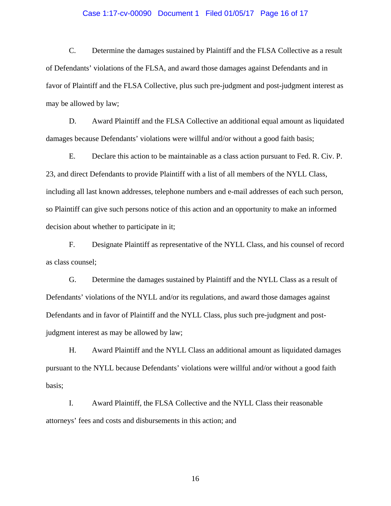#### Case 1:17-cv-00090 Document 1 Filed 01/05/17 Page 16 of 17

C. Determine the damages sustained by Plaintiff and the FLSA Collective as a result of Defendants' violations of the FLSA, and award those damages against Defendants and in favor of Plaintiff and the FLSA Collective, plus such pre-judgment and post-judgment interest as may be allowed by law;

D. Award Plaintiff and the FLSA Collective an additional equal amount as liquidated damages because Defendants' violations were willful and/or without a good faith basis;

E. Declare this action to be maintainable as a class action pursuant to Fed. R. Civ. P. 23, and direct Defendants to provide Plaintiff with a list of all members of the NYLL Class, including all last known addresses, telephone numbers and e-mail addresses of each such person, so Plaintiff can give such persons notice of this action and an opportunity to make an informed decision about whether to participate in it;

F. Designate Plaintiff as representative of the NYLL Class, and his counsel of record as class counsel;

G. Determine the damages sustained by Plaintiff and the NYLL Class as a result of Defendants' violations of the NYLL and/or its regulations, and award those damages against Defendants and in favor of Plaintiff and the NYLL Class, plus such pre-judgment and postjudgment interest as may be allowed by law;

H. Award Plaintiff and the NYLL Class an additional amount as liquidated damages pursuant to the NYLL because Defendants' violations were willful and/or without a good faith basis;

I. Award Plaintiff, the FLSA Collective and the NYLL Class their reasonable attorneys' fees and costs and disbursements in this action; and